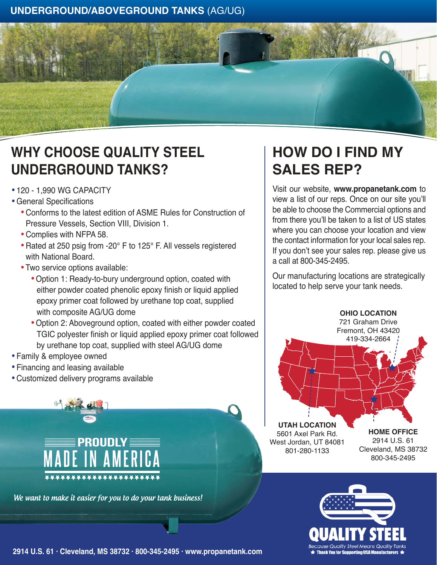## **UNDERGROUND/ABOVEGROUND TANKS** (AG/UG)



## **WHY CHOOSE QUALITY STEEL UNDERGROUND TANKS?**

- · 120 1,990 WG CAPACITY
- · General Specifications
	- · Conforms to the latest edition of ASME Rules for Construction of Pressure Vessels, Section VIII, Division 1.
	- · Complies with NFPA 58.
	- · Rated at 250 psig from -20° F to 125° F. All vessels registered with National Board.
	- · Two service options available:
		- · Option 1: Ready-to-bury underground option, coated with either powder coated phenolic epoxy finish or liquid applied epoxy primer coat followed by urethane top coat, supplied with composite AG/UG dome
		- · Option 2: Aboveground option, coated with either powder coated TGIC polyester finish or liquid applied epoxy primer coat followed by urethane top coat, supplied with steel AG/UG dome
- · Family & employee owned
- · Financing and leasing available
- · Customized delivery programs available



We want to make it easier for you to do your tank business!

## Visit our website, **www.propanetank.com** to view a list of our reps. Once on our site you'll

**SALES REP?**

be able to choose the Commercial options and from there you'll be taken to a list of US states where you can choose your location and view the contact information for your local sales rep. If you don't see your sales rep. please give us a call at 800-345-2495.

**HOW DO I FIND MY** 

Our manufacturing locations are strategically located to help serve your tank needs.





**2914 U.S. 61 · Cleveland, MS 38732 · 800-345-2495 · www.propanetank.com**